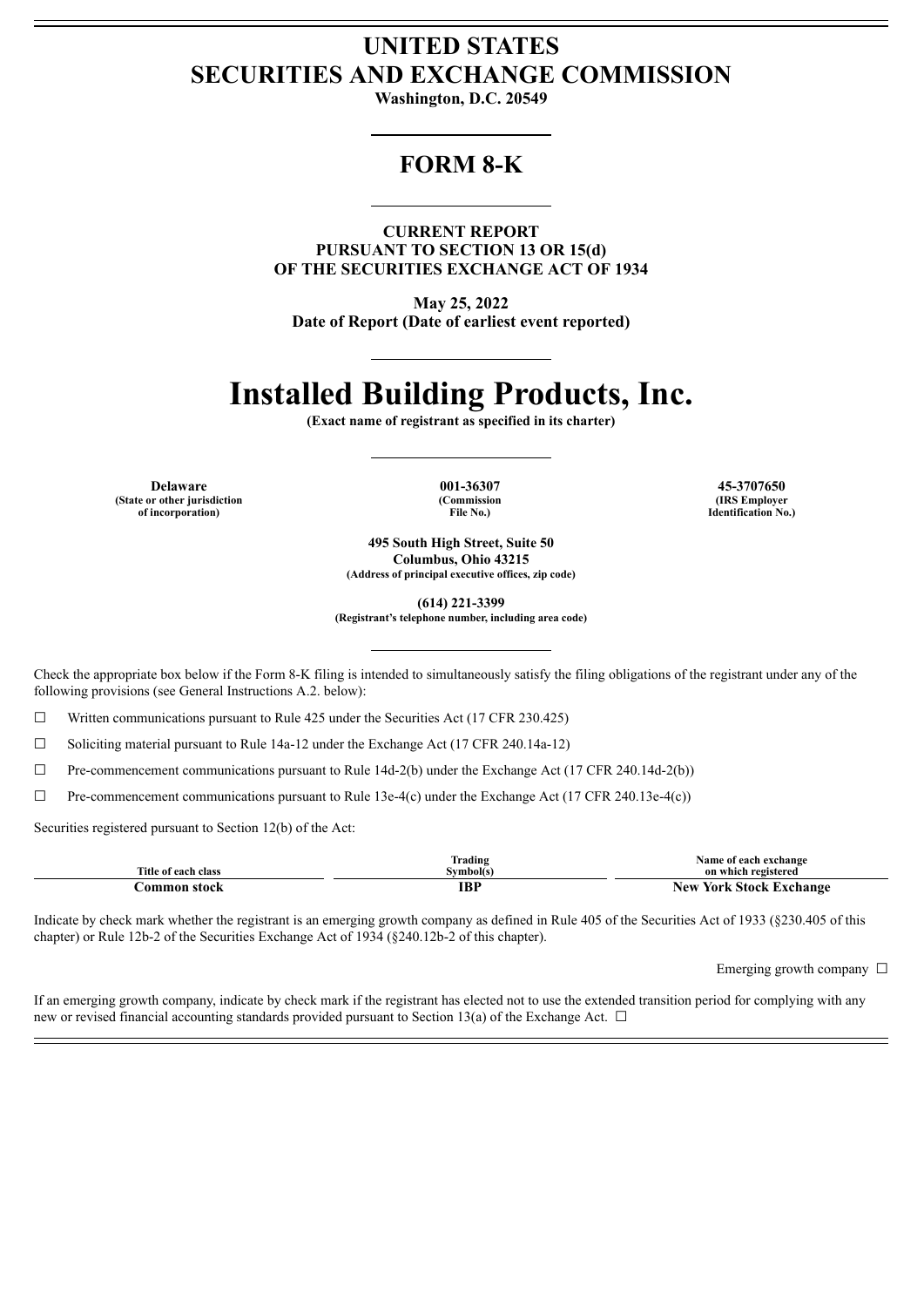## **UNITED STATES SECURITIES AND EXCHANGE COMMISSION**

**Washington, D.C. 20549**

## **FORM 8-K**

**CURRENT REPORT PURSUANT TO SECTION 13 OR 15(d) OF THE SECURITIES EXCHANGE ACT OF 1934**

**May 25, 2022 Date of Report (Date of earliest event reported)**

# **Installed Building Products, Inc.**

**(Exact name of registrant as specified in its charter)**

**Delaware 001-36307 45-3707650 (State or other jurisdiction of incorporation)**

**(Commission File No.)**

**(IRS Employer Identification No.)**

**495 South High Street, Suite 50 Columbus, Ohio 43215 (Address of principal executive offices, zip code)**

**(614) 221-3399**

**(Registrant's telephone number, including area code)**

Check the appropriate box below if the Form 8-K filing is intended to simultaneously satisfy the filing obligations of the registrant under any of the following provisions (see General Instructions A.2. below):

 $\Box$  Written communications pursuant to Rule 425 under the Securities Act (17 CFR 230.425)

☐ Soliciting material pursuant to Rule 14a-12 under the Exchange Act (17 CFR 240.14a-12)

☐ Pre-commencement communications pursuant to Rule 14d-2(b) under the Exchange Act (17 CFR 240.14d-2(b))

☐ Pre-commencement communications pursuant to Rule 13e-4(c) under the Exchange Act (17 CFR 240.13e-4(c))

Securities registered pursuant to Section 12(b) of the Act:

|                     | Trading   | Name of each exchange          |
|---------------------|-----------|--------------------------------|
| Title of each class | Svmbol(s) | on which registered            |
| tommon stock        | IBP       | <b>New York Stock Exchange</b> |

Indicate by check mark whether the registrant is an emerging growth company as defined in Rule 405 of the Securities Act of 1933 (§230.405 of this chapter) or Rule 12b-2 of the Securities Exchange Act of 1934 (§240.12b-2 of this chapter).

Emerging growth company  $\Box$ 

If an emerging growth company, indicate by check mark if the registrant has elected not to use the extended transition period for complying with any new or revised financial accounting standards provided pursuant to Section 13(a) of the Exchange Act.  $\Box$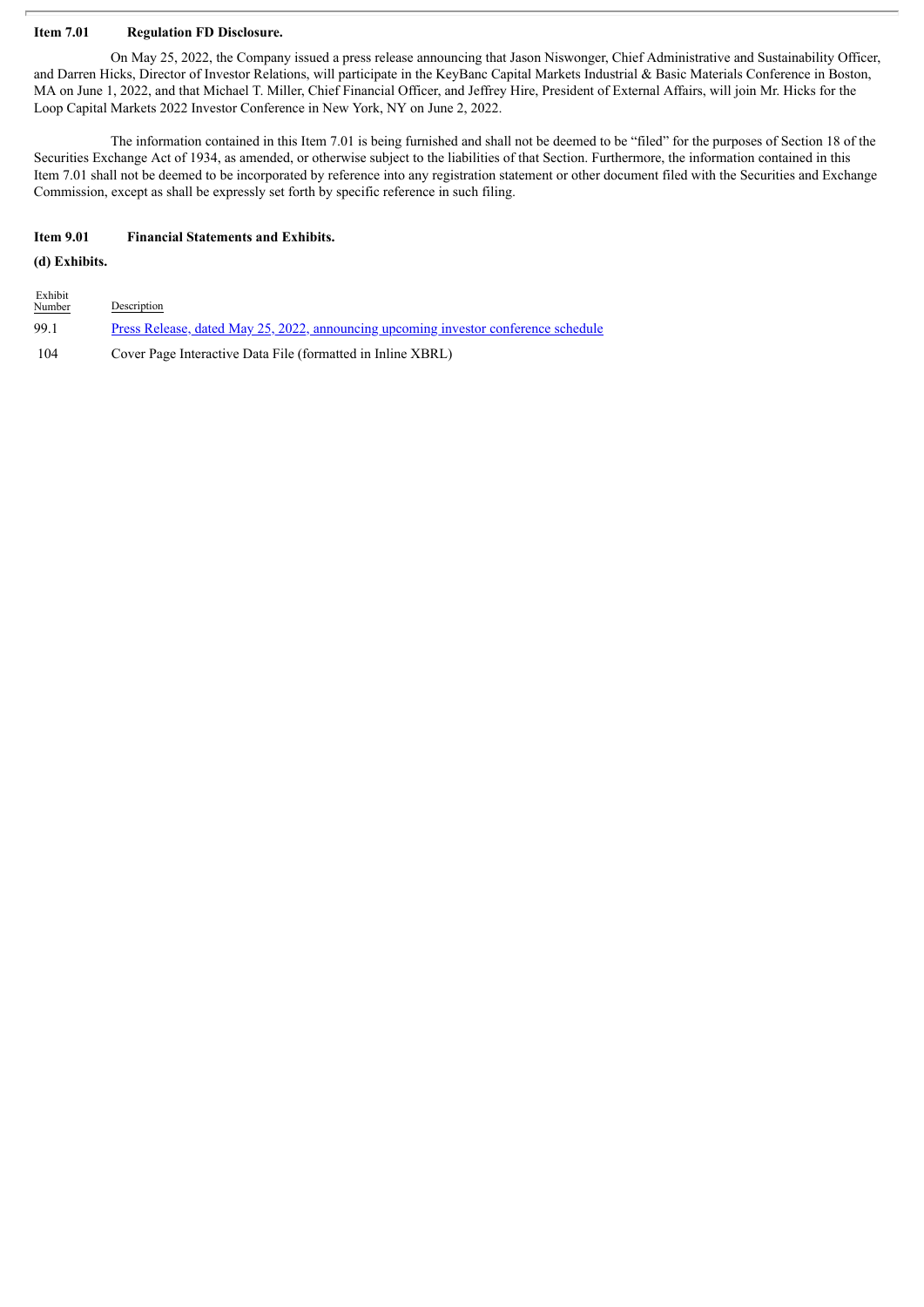#### **Item 7.01 Regulation FD Disclosure.**

On May 25, 2022, the Company issued a press release announcing that Jason Niswonger, Chief Administrative and Sustainability Officer, and Darren Hicks, Director of Investor Relations, will participate in the KeyBanc Capital Markets Industrial & Basic Materials Conference in Boston, MA on June 1, 2022, and that Michael T. Miller, Chief Financial Officer, and Jeffrey Hire, President of External Affairs, will join Mr. Hicks for the Loop Capital Markets 2022 Investor Conference in New York, NY on June 2, 2022.

The information contained in this Item 7.01 is being furnished and shall not be deemed to be "filed" for the purposes of Section 18 of the Securities Exchange Act of 1934, as amended, or otherwise subject to the liabilities of that Section. Furthermore, the information contained in this Item 7.01 shall not be deemed to be incorporated by reference into any registration statement or other document filed with the Securities and Exchange Commission, except as shall be expressly set forth by specific reference in such filing.

#### **Item 9.01 Financial Statements and Exhibits.**

#### **(d) Exhibits.**

Exhibit

| $\frac{1}{2}$<br><b>Number</b> | Description                                                                         |
|--------------------------------|-------------------------------------------------------------------------------------|
| 99.1                           | Press Release, dated May 25, 2022, announcing upcoming investor conference schedule |
| -104                           | Cover Page Interactive Data File (formatted in Inline XBRL)                         |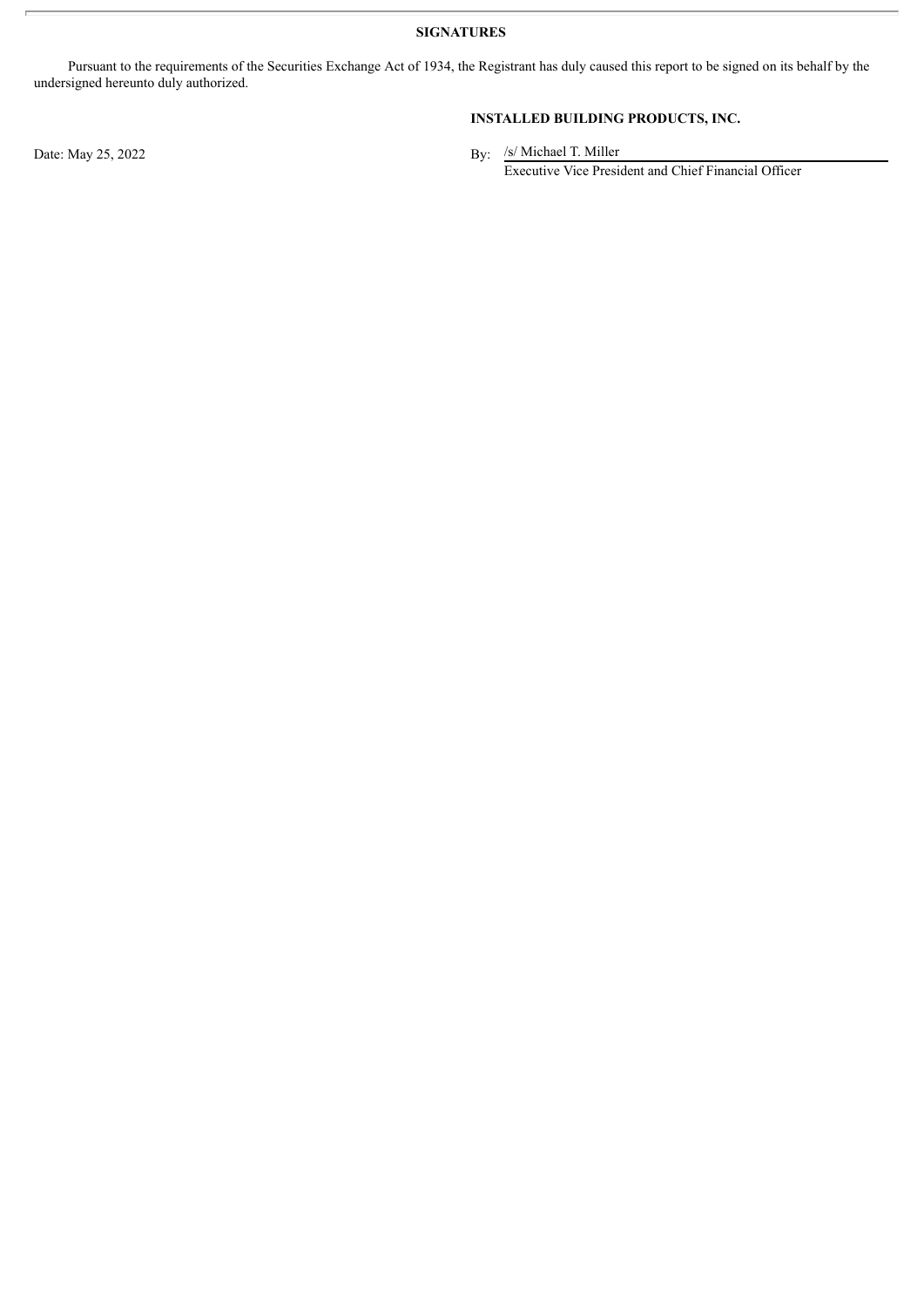**SIGNATURES**

Pursuant to the requirements of the Securities Exchange Act of 1934, the Registrant has duly caused this report to be signed on its behalf by the undersigned hereunto duly authorized.

**INSTALLED BUILDING PRODUCTS, INC.**

By: /s/ Michael T. Miller Executive Vice President and Chief Financial Officer

Date: May 25, 2022